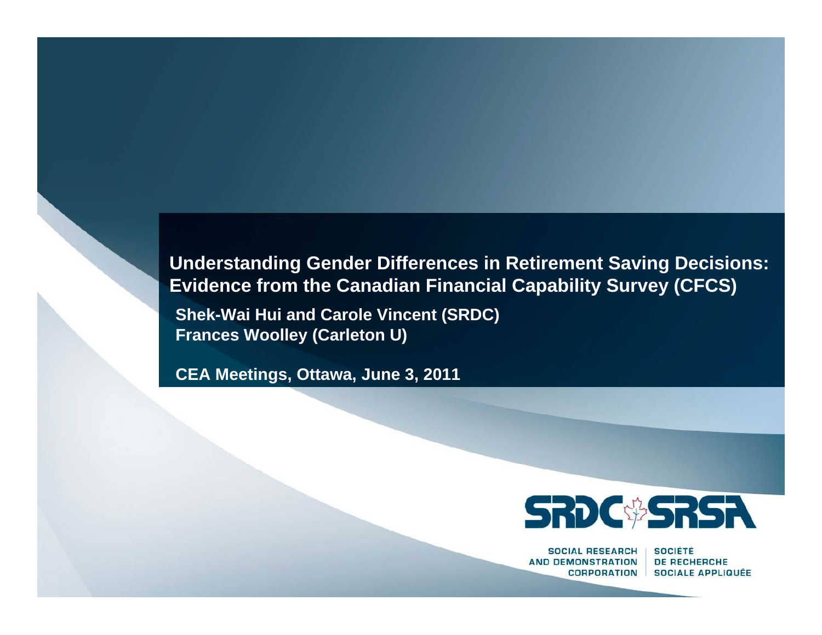#### **Understanding Gender Differences in Retirement Saving Decisions: Evidence from the Canadian Financial Capability Survey (CFCS)**

**Shek-Wai Hui and Carole Vincent (SRDC) Frances Woolley (Carleton U)**

**CEA Meetings, Ottawa, June 3, 2011** 



**SOCIAL RESEARCH AND DEMONSTRATION CORPORATION** 

**SOCIÉTÉ DE RECHERCHE SOCIALE APPLIQUÉE**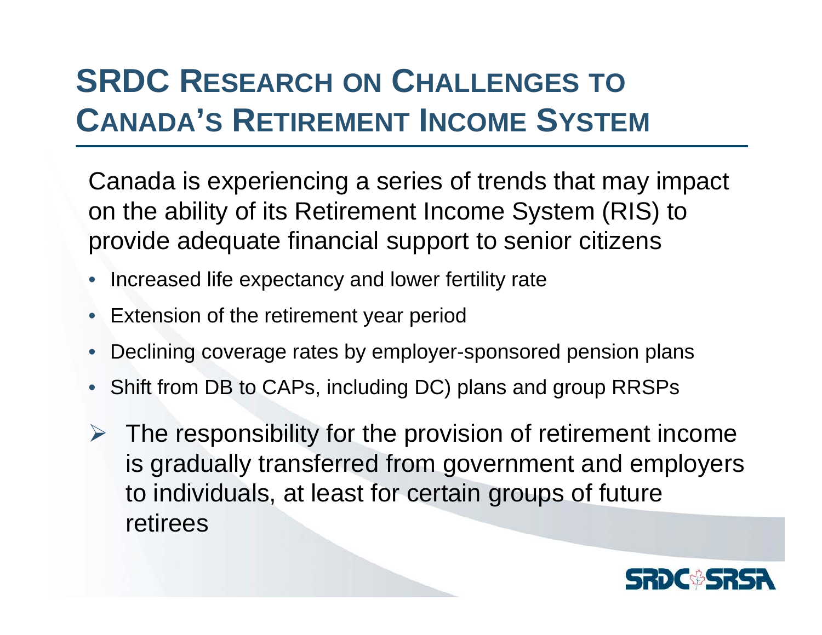### **SRDC RESEARCH ON CHALLENGES TOCANADA'S RETIREMENT INCOME SYSTEM**

Canada is experiencing a series of trends that may impact on the ability of its Retirement Income System (RIS) to provide adequate financial support to senior citizens

- Increased life expectancy and lower fertility rate
- Extension of the retirement year period
- •Declining coverage rates by employer-sponsored pension plans
- Shift from DB to CAPs, including DC) plans and group RRSPs
- $\triangleright$  The responsibility for the provision of retirement income is gradually transferred from government and employers to individuals, at least for certain groups of future retirees

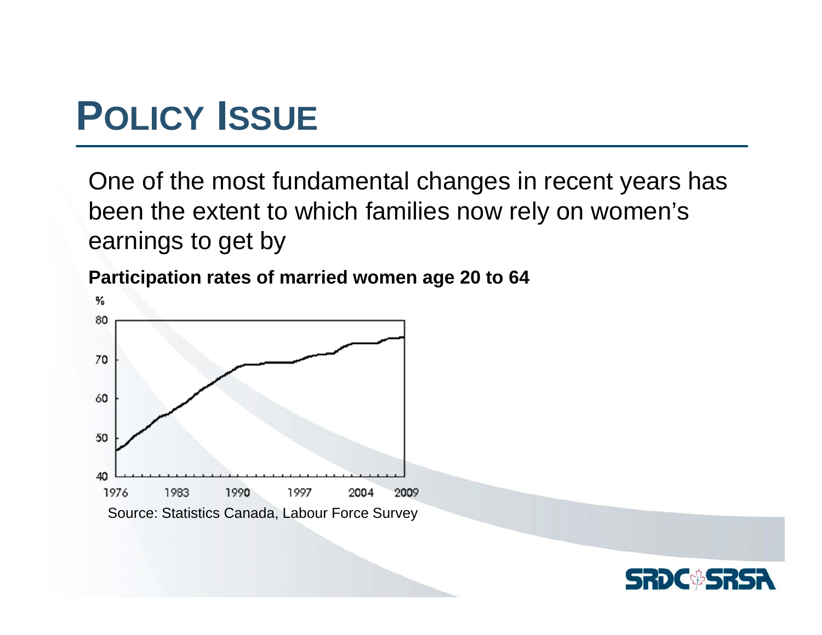# **POLICY ISSUE**

One of the most fundamental changes in recent years has been the extent to which families now rely on women's earnings to get by

**Participation rates of married women age 20 to 64**



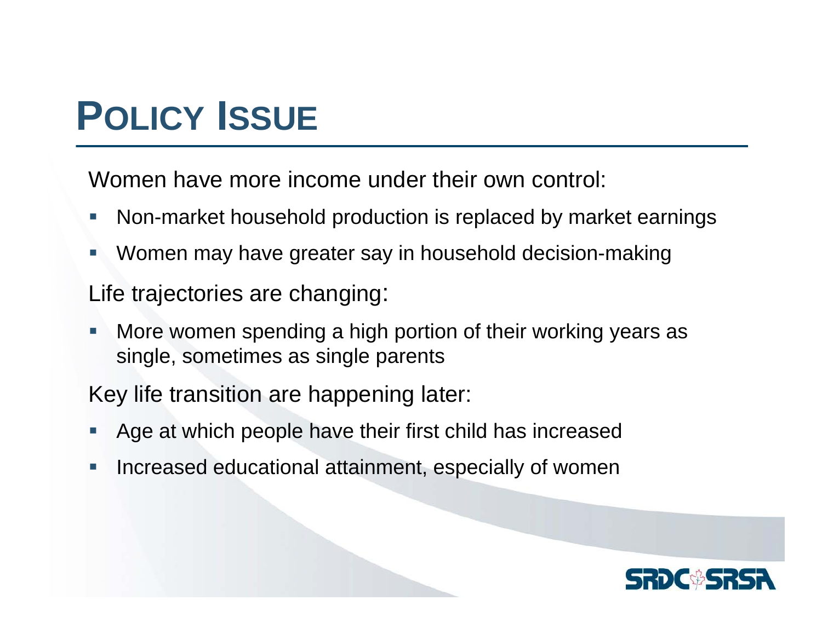# **POLICY ISSUE**

Women have more income under their own control:

- $\mathbb{R}^n$ Non-market household production is replaced by market earnings
- Г. Women may have greater say in household decision-making

Life trajectories are changing:

 $\overline{\phantom{a}}$  More women spending a high portion of their working years as single, sometimes as single parents

Key life transition are happening later:

- L. Age at which people have their first child has increased
- $\overline{\phantom{a}}$ Increased educational attainment, especially of women

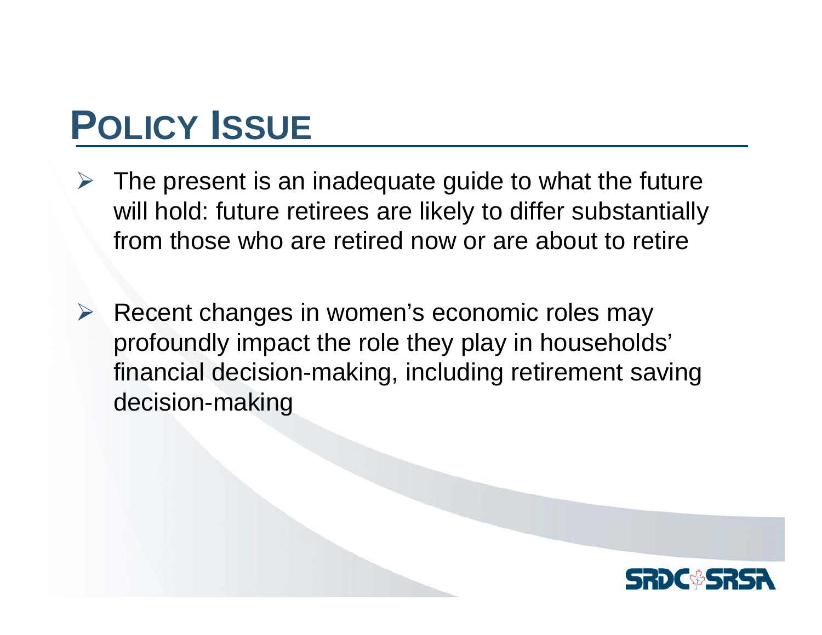# **POLICY ISSUE**

- ¾ The present is an inadequate guide to what the future will hold: future retirees are likely to differ substantially from those who are retired now or are about to retire
- ¾ Recent changes in women's economic roles may profoundly impact the role they play in households' financial decision-making, including retirement saving decision-making

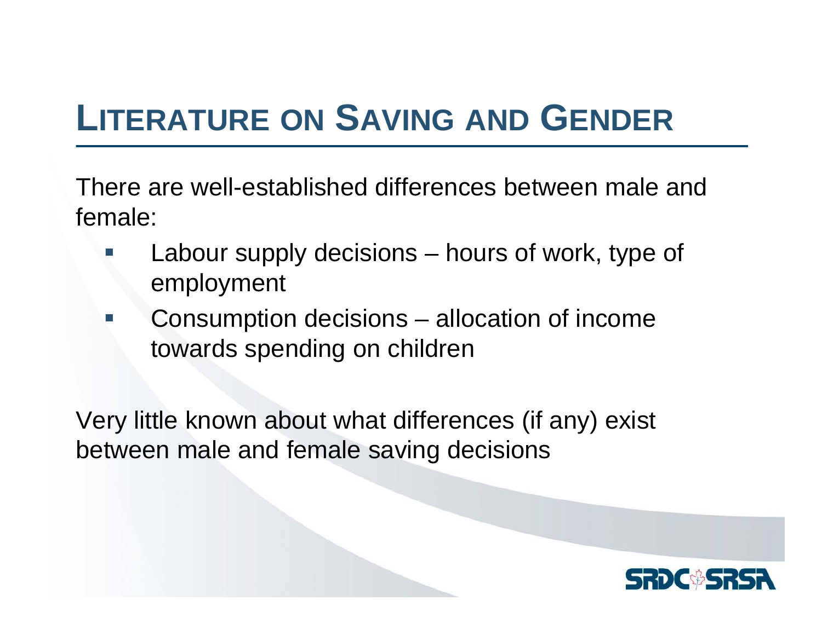## **LITERATURE ON SAVING AND GENDER**

There are well-established differences between male and female:

- Labour supply decisions – hours of work, type of employment
- $\mathcal{L}_{\mathcal{A}}$  Consumption decisions – allocation of income towards spending on children

Very little known about what differences (if any) exist between male and female saving decisions

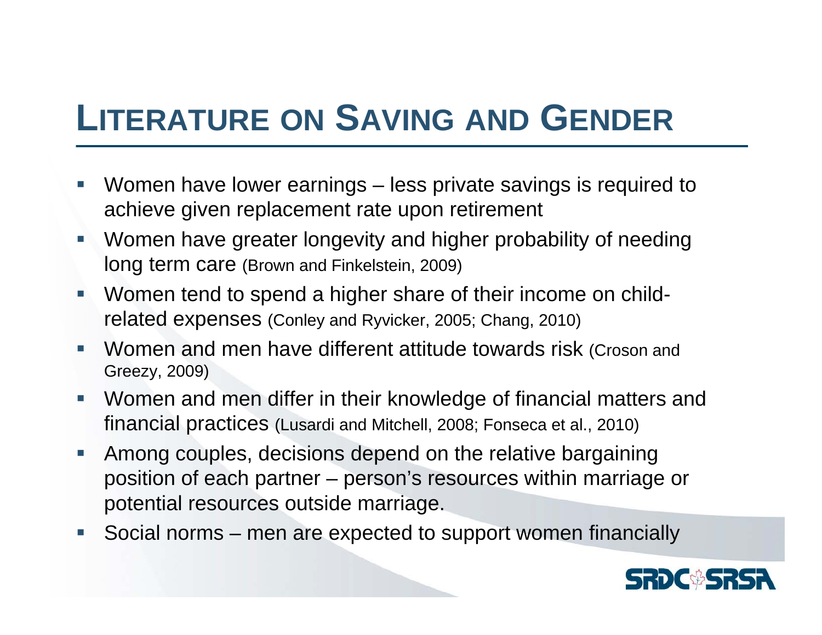## **LITERATURE ON SAVING AND GENDER**

- **Service Service**  Women have lower earnings – less private savings is required to achieve given replacement rate upon retirement
- $\overline{\phantom{a}}$  Women have greater longevity and higher probability of needing long term care (Brown and Finkelstein, 2009)
- $\overline{\phantom{a}}$  Women tend to spend a higher share of their income on childrelated expenses (Conley and Ryvicker, 2005; Chang, 2010)
- e<br>S Women and men have different attitude towards risk (Croson and Greezy, 2009)
- $\mathcal{L}_{\mathcal{A}}$  Women and men differ in their knowledge of financial matters and financial practices (Lusardi and Mitchell, 2008; Fonseca et al., 2010)
- $\overline{\phantom{a}}$  Among couples, decisions depend on the relative bargaining position of each partner – person's resources within marriage or potential resources outside marriage.
- $\Box$ Social norms – men are expected to support women financially

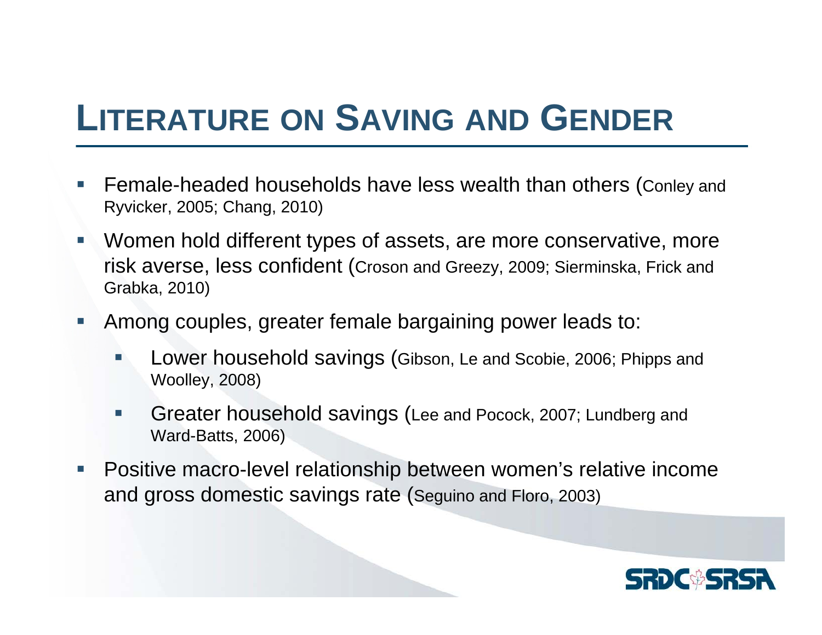## **LITERATURE ON SAVING AND GENDER**

- **Service Service**  Female-headed households have less wealth than others (Conley and Ryvicker, 2005; Chang, 2010)
- **Service Service**  Women hold different types of assets, are more conservative, more risk averse, less confident (Croson and Greezy, 2009; Sierminska, Frick and Grabka, 2010)
- $\overline{\phantom{a}}$  Among couples, greater female bargaining power leads to:
	- F Lower household savings (Gibson, Le and Scobie, 2006; Phipps and Woolley, 2008)
	- m, Greater household savings (Lee and Pocock, 2007; Lundberg and Ward-Batts, 2006)
- П Positive macro-level relationship between women's relative income and gross domestic savings rate (Seguino and Floro, 2003)

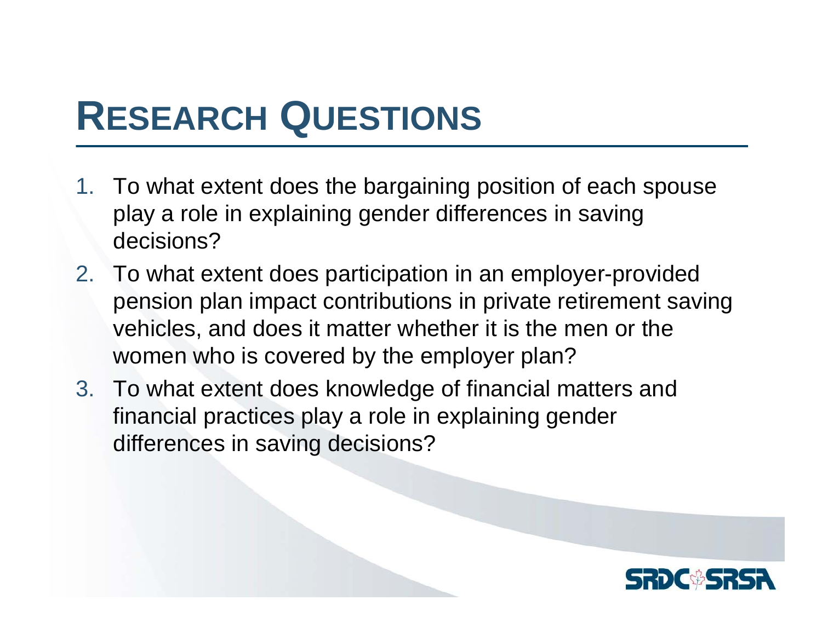# **RESEARCH QUESTIONS**

- 1. To what extent does the bargaining position of each spouse play a role in explaining gender differences in saving decisions?
- 2. To what extent does participation in an employer-provided pension plan impact contributions in private retirement saving vehicles, and does it matter whether it is the men or the women who is covered by the employer plan?
- 3. To what extent does knowledge of financial matters and financial practices play a role in explaining gender differences in saving decisions?

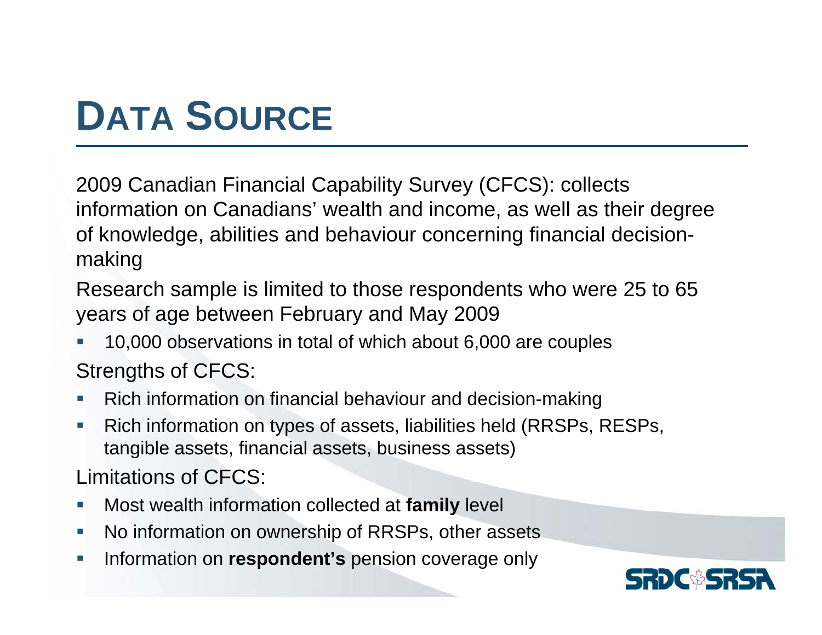# **DATA SOURCE**

2009 Canadian Financial Capability Survey (CFCS): collects information on Canadians' wealth and income, as well as their degree of knowledge, abilities and behaviour concerning financial decisionmaking

Research sample is limited to those respondents who were 25 to 65 years of age between February and May 2009

- $\mathcal{L}_{\mathcal{A}}$  10,000 observations in total of which about 6,000 are couples Strengths of CFCS:
- П Rich information on financial behaviour and decision-making
- $\mathcal{L}_{\mathcal{A}}$  Rich information on types of assets, liabilities held (RRSPs, RESPs, tangible assets, financial assets, business assets)

Limitations of CFCS:

- $\mathcal{C}$ Most wealth information collected at **family** level
- $\mathcal{L}_{\mathcal{A}}$ No information on ownership of RRSPs, other assets
- $\mathcal{C}$ Information on **respondent's** pension coverage only

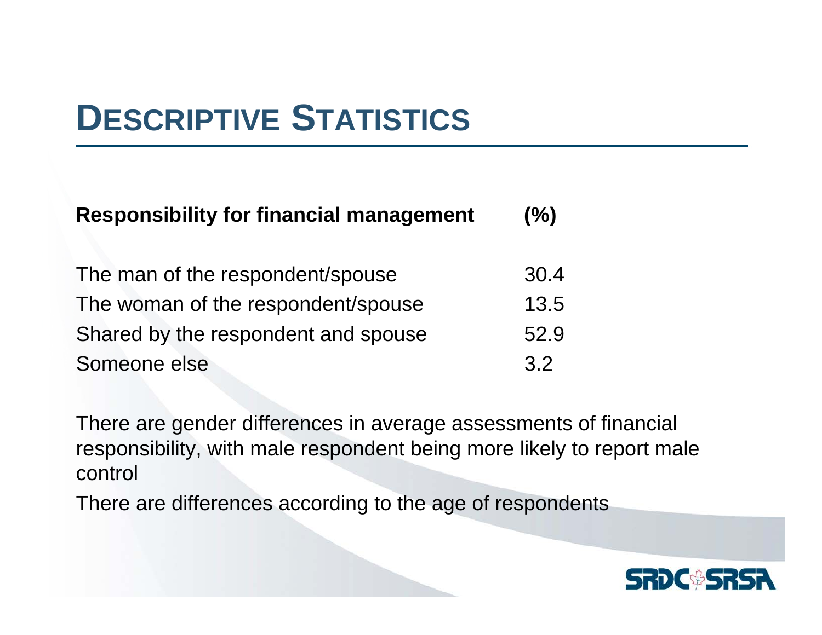## **DESCRIPTIVE STATISTICS**

| <b>Responsibility for financial management</b> |      |  |  |  |  |
|------------------------------------------------|------|--|--|--|--|
| The man of the respondent/spouse               | 30.4 |  |  |  |  |
| The woman of the respondent/spouse             | 13.5 |  |  |  |  |
| Shared by the respondent and spouse            | 52.9 |  |  |  |  |
| Someone else                                   | 32   |  |  |  |  |

There are gender differences in average assessments of financial responsibility, with male respondent being more likely to report male control

There are differences according to the age of respondents

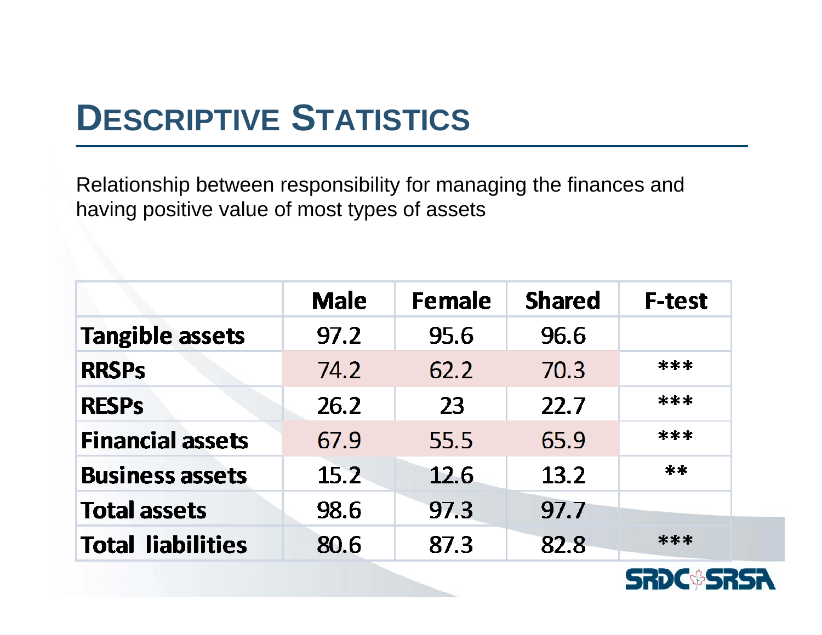## **DESCRIPTIVE STATISTICS**

Relationship between responsibility for managing the finances and having positive value of most types of assets

|                          | <b>Male</b> | <b>Female</b> | <b>Shared</b> | <b>F-test</b> |
|--------------------------|-------------|---------------|---------------|---------------|
| <b>Tangible assets</b>   | 97.2        | 95.6          | 96.6          |               |
| <b>RRSPs</b>             | 74.2        | 62.2          | 70.3          | ***           |
| <b>RESPS</b>             | 26.2        | 23            | 22.7          | ***           |
| <b>Financial assets</b>  | 67.9        | 55.5          | 65.9          | ***           |
| <b>Business assets</b>   | 15.2        | 12.6          | 13.2          | **            |
| <b>Total assets</b>      | 98.6        | 97.3          | 97.7          |               |
| <b>Total liabilities</b> | 80.6        | 87.3          | 82.8          | ***           |

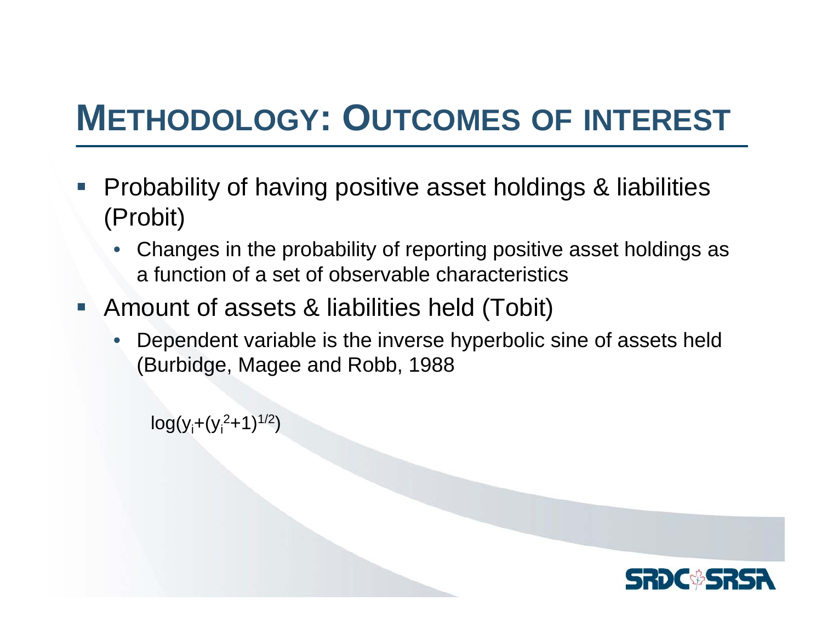## **METHODOLOGY: OUTCOMES OF INTEREST**

- **Service Service**  Probability of having positive asset holdings & liabilities (Probit)
	- • Changes in the probability of reporting positive asset holdings as a function of a set of observable characteristics
- **Amount of assets & liabilities held (Tobit)** 
	- • Dependent variable is the inverse hyperbolic sine of assets held (Burbidge, Magee and Robb, 1988

 $log(y_i+(y_i^2+1)^{1/2})$ 

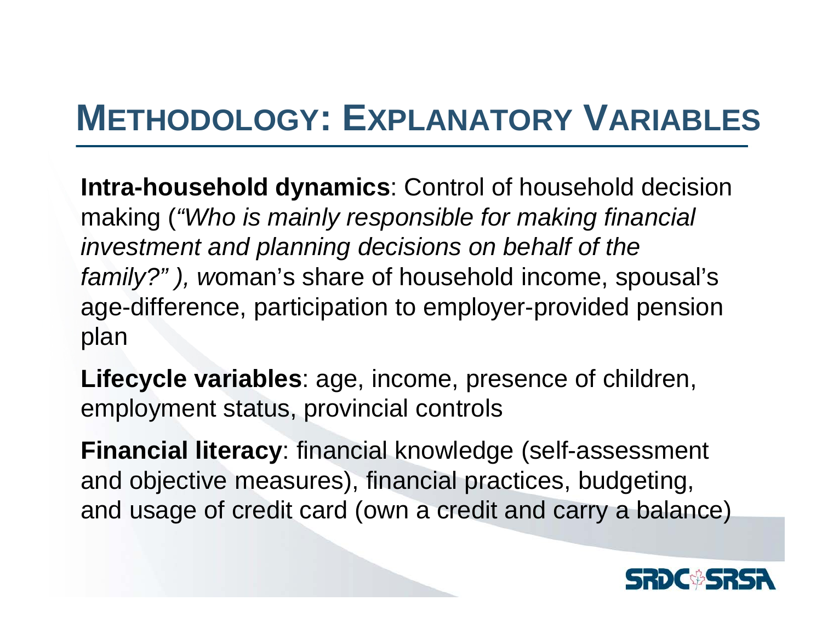### **METHODOLOGY: EXPLANATORY VARIABLES**

**Intra-household dynamics**: Control of household decision making (*"Who is mainly responsible for making financial investment and planning decisions on behalf of the family?" ), w*oman's share of household income, spousal's age-difference, participation to employer-provided pension plan

**Lifecycle variables**: age, income, presence of children, employment status, provincial controls

**Financial literacy**: financial knowledge (self-assessment and objective measures), financial practices, budgeting, and usage of credit card (own a credit and carry a balance)

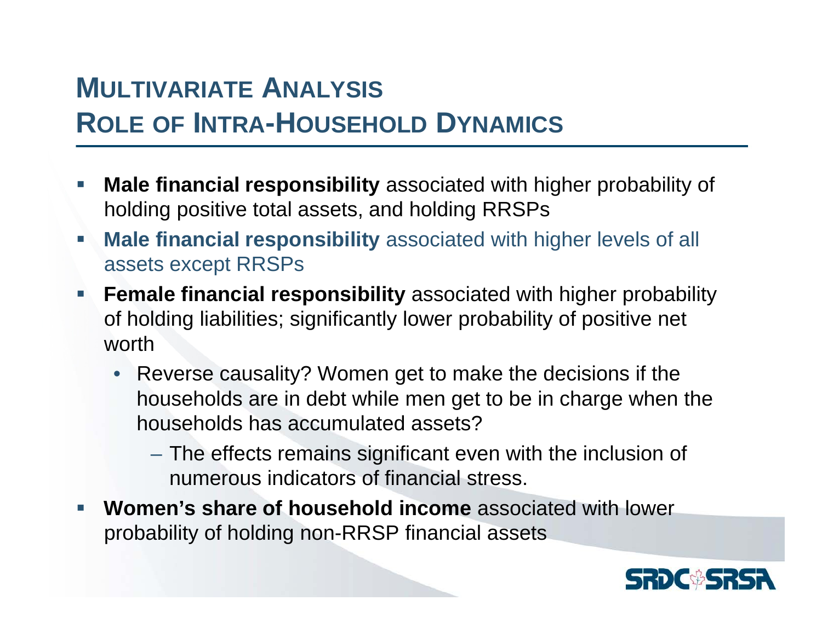### **MULTIVARIATE ANALYSIS ROLE OF INTRA-HOUSEHOLD DYNAMICS**

- **Service Service Male financial responsibility** associated with higher probability of holding positive total assets, and holding RRSPs
- $\mathcal{L}_{\mathcal{A}}$  **Male financial responsibility** associated with higher levels of all assets except RRSPs
- $\overline{\phantom{a}}$  **Female financial responsibility** associated with higher probability of holding liabilities; significantly lower probability of positive net worth
	- Reverse causality? Women get to make the decisions if the households are in debt while men get to be in charge when the households has accumulated assets?
		- The effects remains significant even with the inclusion of numerous indicators of financial stress.
- e<br>S **Women's share of household income** associated with lower probability of holding non-RRSP financial assets

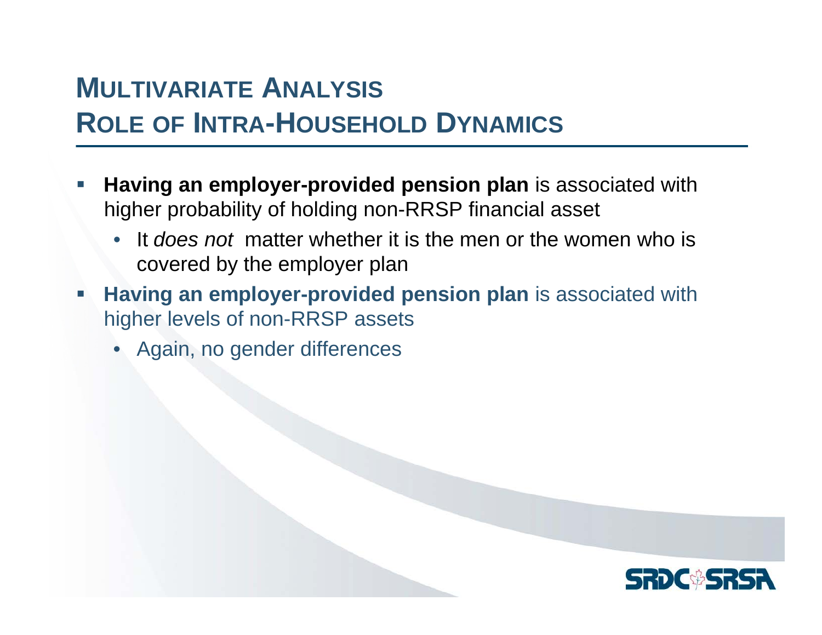### **MULTIVARIATE ANALYSIS ROLE OF INTRA-HOUSEHOLD DYNAMICS**

- **Service Service Having an employer-provided pension plan** is associated with higher probability of holding non-RRSP financial asset
	- • It *does not* matter whether it is the men or the women who is covered by the employer plan
- T. **Having an employer-provided pension plan** is associated with higher levels of non-RRSP assets
	- Again, no gender differences

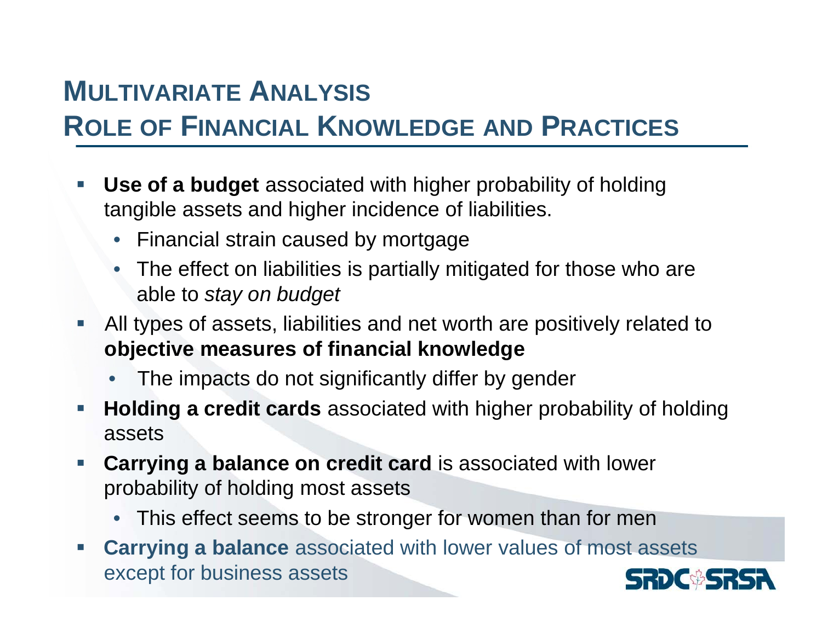### **MULTIVARIATE ANALYSIS**

### **ROLE OF FINANCIAL KNOWLEDGE AND PRACTICES**

- **Service Service Use of a budget** associated with higher probability of holding tangible assets and higher incidence of liabilities.
	- Financial strain caused by mortgage
	- The effect on liabilities is partially mitigated for those who are able to *stay on budget*
- **Service Service**  All types of assets, liabilities and net worth are positively related to **objective measures of financial knowledge**
	- •The impacts do not significantly differ by gender
- $\Box$  **Holding a credit cards** associated with higher probability of holding assets
- $\mathcal{L}_{\mathcal{A}}$  **Carrying a balance on credit card** is associated with lower probability of holding most assets
	- This effect seems to be stronger for women than for men
- $\Box$  **Carrying a balance** associated with lower values of most assets except for business assets

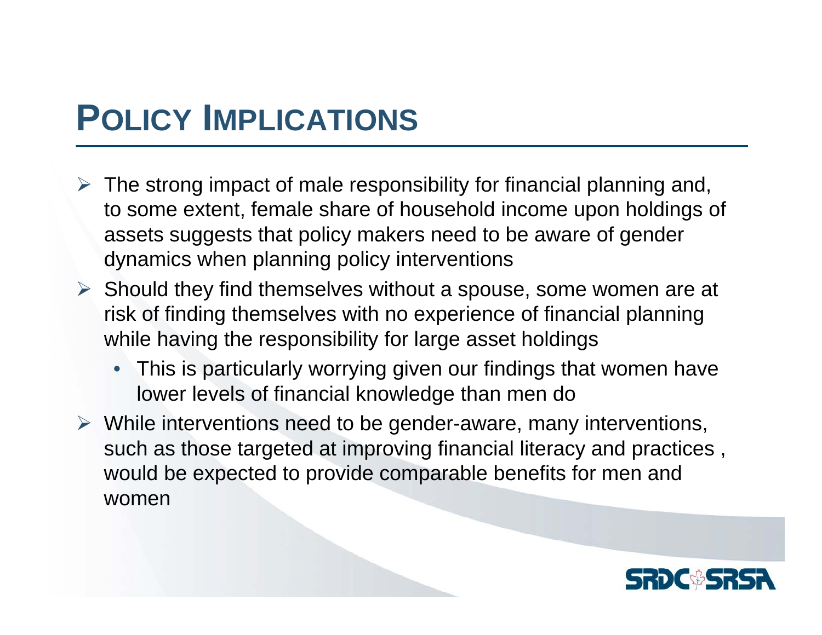### **POLICY IMPLICATIONS**

- $\triangleright$  The strong impact of male responsibility for financial planning and, to some extent, female share of household income upon holdings of assets suggests that policy makers need to be aware of gender dynamics when planning policy interventions
- $\triangleright$  Should they find themselves without a spouse, some women are at risk of finding themselves with no experience of financial planning while having the responsibility for large asset holdings
	- This is particularly worrying given our findings that women have lower levels of financial knowledge than men do
- ¾ While interventions need to be gender-aware, many interventions, such as those targeted at improving financial literacy and practices , would be expected to provide comparable benefits for men and women

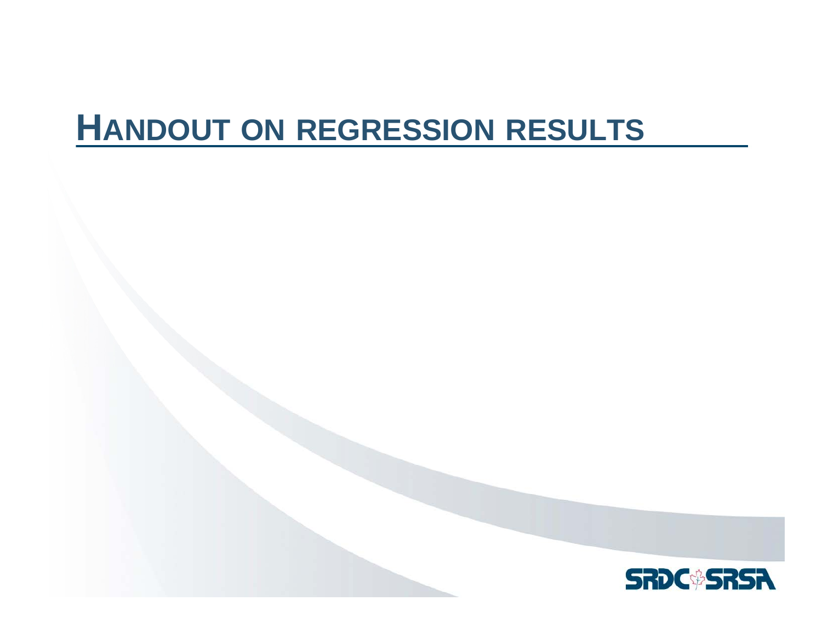### **HANDOUT ON REGRESSION RESULTS**

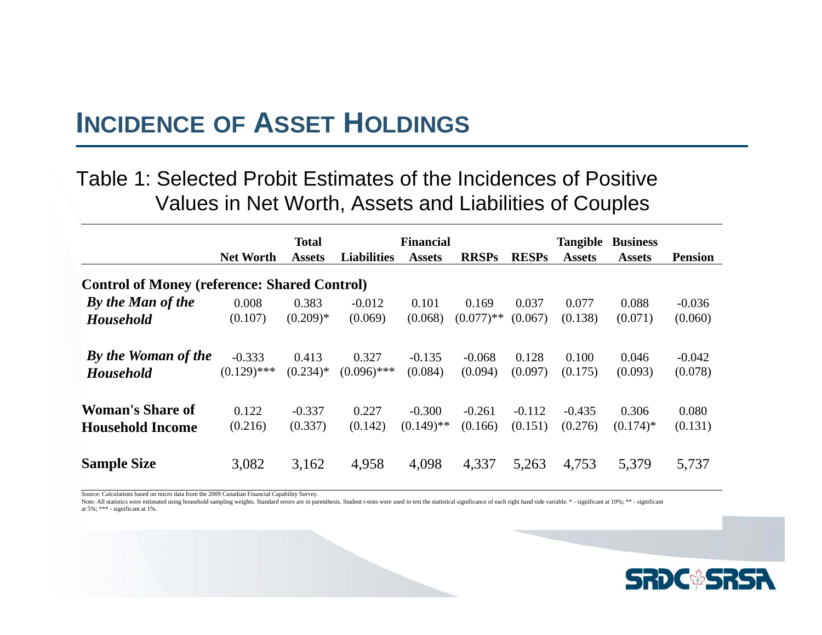#### **INCIDENCE OF ASSET HOLDINGS**

#### Table 1: Selected Probit Estimates of the Incidences of Positive Values in Net Worth, Assets and Liabilities of Couples

|                                                     | <b>Net Worth</b> | <b>Total</b><br><b>Assets</b> | <b>Liabilities</b> | <b>Financial</b><br><b>Assets</b> | <b>RRSPs</b> | <b>RESPs</b> | Tangible<br><b>Assets</b> | <b>Business</b><br><b>Assets</b> | <b>Pension</b> |
|-----------------------------------------------------|------------------|-------------------------------|--------------------|-----------------------------------|--------------|--------------|---------------------------|----------------------------------|----------------|
| <b>Control of Money (reference: Shared Control)</b> |                  |                               |                    |                                   |              |              |                           |                                  |                |
| By the Man of the                                   | 0.008            | 0.383                         | $-0.012$           | 0.101                             | 0.169        | 0.037        | 0.077                     | 0.088                            | $-0.036$       |
| <b>Household</b>                                    | (0.107)          | $(0.209)*$                    | (0.069)            | (0.068)                           | $(0.077)$ ** | (0.067)      | (0.138)                   | (0.071)                          | (0.060)        |
| By the Woman of the                                 | $-0.333$         | 0.413                         | 0.327              | $-0.135$                          | $-0.068$     | 0.128        | 0.100                     | 0.046                            | $-0.042$       |
| <b>Household</b>                                    | $(0.129)$ ***    | $(0.234)*$                    | $(0.096)$ ***      | (0.084)                           | (0.094)      | (0.097)      | (0.175)                   | (0.093)                          | (0.078)        |
| <b>Woman's Share of</b>                             | 0.122            | $-0.337$                      | 0.227              | $-0.300$                          | $-0.261$     | $-0.112$     | $-0.435$                  | 0.306                            | 0.080          |
| <b>Household Income</b>                             | (0.216)          | (0.337)                       | (0.142)            | $(0.149)$ **                      | (0.166)      | (0.151)      | (0.276)                   | $(0.174)$ *                      | (0.131)        |
| <b>Sample Size</b>                                  | 3,082            | 3,162                         | 4,958              | 4,098                             | 4,337        | 5,263        | 4,753                     | 5,379                            | 5,737          |

Source: Calculations based on micro data from the 2009 Canadian Financial Capability Survey.

Note: All statistics were estimated using household sampling weights. Standard errors are in parenthesis. Student t-tests were used to test the statistical significance of each right hand side variable. \* - significant at at 5%; \*\*\* - significant at 1%.

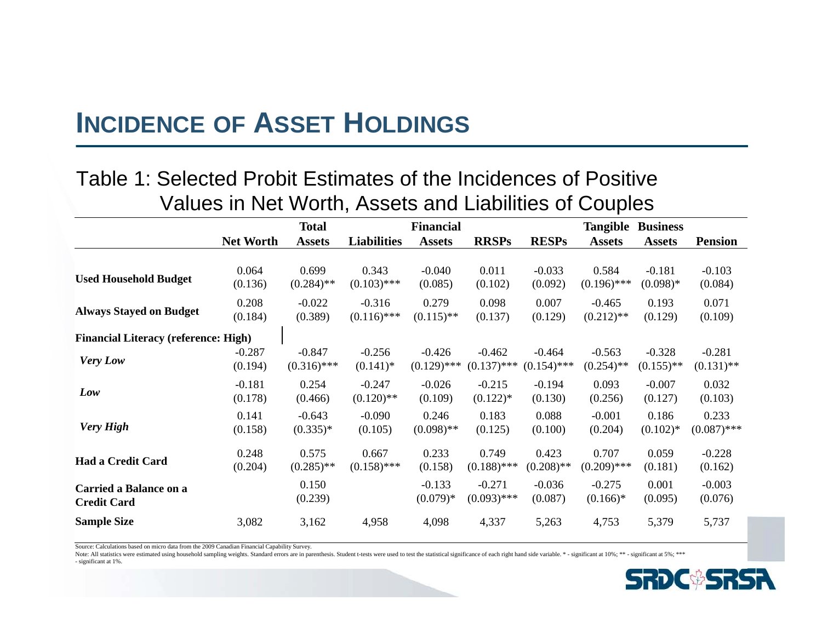### **INCIDENCE OF ASSET HOLDINGS**

#### Table 1: Selected Probit Estimates of the Incidences of Positive Values in Net Worth, Assets and Liabilities of Couples

|                                             | <b>Total</b><br><b>Financial</b> |               |                    |               |               | <b>Tangible</b><br><b>Business</b> |               |               |                |  |
|---------------------------------------------|----------------------------------|---------------|--------------------|---------------|---------------|------------------------------------|---------------|---------------|----------------|--|
|                                             | <b>Net Worth</b>                 | <b>Assets</b> | <b>Liabilities</b> | <b>Assets</b> | <b>RRSPs</b>  | <b>RESPs</b>                       | <b>Assets</b> | <b>Assets</b> | <b>Pension</b> |  |
|                                             |                                  |               |                    |               |               |                                    |               |               |                |  |
|                                             | 0.064                            | 0.699         | 0.343              | $-0.040$      | 0.011         | $-0.033$                           | 0.584         | $-0.181$      | $-0.103$       |  |
| <b>Used Household Budget</b>                | (0.136)                          | $(0.284)$ **  | $(0.103)$ ***      | (0.085)       | (0.102)       | (0.092)                            | $(0.196)$ *** | $(0.098)*$    | (0.084)        |  |
|                                             | 0.208                            | $-0.022$      | $-0.316$           | 0.279         | 0.098         | 0.007                              | $-0.465$      | 0.193         | 0.071          |  |
| <b>Always Stayed on Budget</b>              | (0.184)                          | (0.389)       | $(0.116)$ ***      | $(0.115)$ **  | (0.137)       | (0.129)                            | $(0.212)$ **  | (0.129)       | (0.109)        |  |
| <b>Financial Literacy (reference: High)</b> |                                  |               |                    |               |               |                                    |               |               |                |  |
|                                             | $-0.287$                         | $-0.847$      | $-0.256$           | $-0.426$      | $-0.462$      | $-0.464$                           | $-0.563$      | $-0.328$      | $-0.281$       |  |
| <b>Very Low</b>                             | (0.194)                          | $(0.316)$ *** | $(0.141)$ *        | $(0.129)$ *** | $(0.137)$ *** | $(0.154)$ ***                      | $(0.254)$ **  | $(0.155)$ **  | $(0.131)$ **   |  |
|                                             | $-0.181$                         | 0.254         | $-0.247$           | $-0.026$      | $-0.215$      | $-0.194$                           | 0.093         | $-0.007$      | 0.032          |  |
| Low                                         | (0.178)                          | (0.466)       | $(0.120)$ **       | (0.109)       | $(0.122)$ *   | (0.130)                            | (0.256)       | (0.127)       | (0.103)        |  |
|                                             | 0.141                            | $-0.643$      | $-0.090$           | 0.246         | 0.183         | 0.088                              | $-0.001$      | 0.186         | 0.233          |  |
| <b>Very High</b>                            | (0.158)                          | $(0.335)*$    | (0.105)            | $(0.098)$ **  | (0.125)       | (0.100)                            | (0.204)       | $(0.102)$ *   | $(0.087)$ ***  |  |
|                                             | 0.248                            | 0.575         | 0.667              | 0.233         | 0.749         | 0.423                              | 0.707         | 0.059         | $-0.228$       |  |
| <b>Had a Credit Card</b>                    | (0.204)                          | $(0.285)$ **  | $(0.158)$ ***      | (0.158)       | $(0.188)$ *** | $(0.208)$ **                       | $(0.209)$ *** | (0.181)       | (0.162)        |  |
| Carried a Balance on a                      |                                  | 0.150         |                    | $-0.133$      | $-0.271$      | $-0.036$                           | $-0.275$      | 0.001         | $-0.003$       |  |
| <b>Credit Card</b>                          |                                  | (0.239)       |                    | $(0.079)*$    | $(0.093)$ *** | (0.087)                            | $(0.166)*$    | (0.095)       | (0.076)        |  |
| <b>Sample Size</b>                          | 3,082                            | 3,162         | 4,958              | 4,098         | 4,337         | 5,263                              | 4,753         | 5,379         | 5,737          |  |
|                                             |                                  |               |                    |               |               |                                    |               |               |                |  |

Source: Calculations based on micro data from the 2009 Canadian Financial Capability Survey.

Note: All statistics were estimated using household sampling weights. Standard errors are in parenthesis. Student t-tests were used to test the statistical significance of each right hand side variable. \* - significant at - significant at 1%.

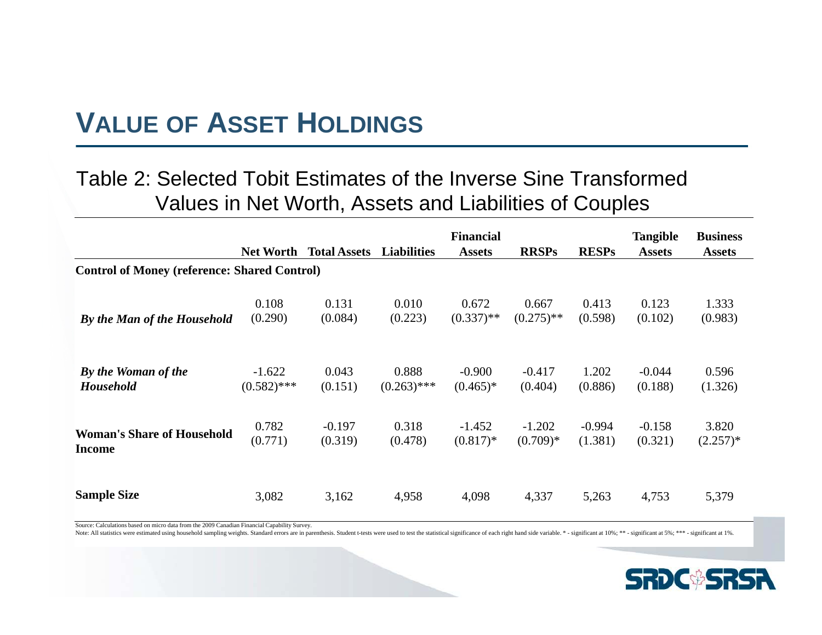### **VALUE OF ASSET HOLDINGS**

#### Table 2: Selected Tobit Estimates of the Inverse Sine Transformed Values in Net Worth, Assets and Liabilities of Couples

|                                                     | <b>Net Worth</b> | <b>Total Assets</b> | <b>Liabilities</b> | <b>Financial</b><br><b>Assets</b> | <b>RRSPs</b> | <b>RESPs</b> | <b>Tangible</b><br><b>Assets</b> | <b>Business</b><br><b>Assets</b> |
|-----------------------------------------------------|------------------|---------------------|--------------------|-----------------------------------|--------------|--------------|----------------------------------|----------------------------------|
| <b>Control of Money (reference: Shared Control)</b> |                  |                     |                    |                                   |              |              |                                  |                                  |
| By the Man of the Household                         | 0.108            | 0.131               | 0.010              | 0.672                             | 0.667        | 0.413        | 0.123                            | 1.333                            |
|                                                     | (0.290)          | (0.084)             | (0.223)            | $(0.337)$ **                      | $(0.275)$ ** | (0.598)      | (0.102)                          | (0.983)                          |
| By the Woman of the                                 | $-1.622$         | 0.043               | 0.888              | $-0.900$                          | $-0.417$     | 1.202        | $-0.044$                         | 0.596                            |
| <b>Household</b>                                    | $(0.582)$ ***    | (0.151)             | $(0.263)$ ***      | $(0.465)*$                        | (0.404)      | (0.886)      | (0.188)                          | (1.326)                          |
| <b>Woman's Share of Household</b>                   | 0.782            | $-0.197$            | 0.318              | $-1.452$                          | $-1.202$     | $-0.994$     | $-0.158$                         | 3.820                            |
| <b>Income</b>                                       | (0.771)          | (0.319)             | (0.478)            | $(0.817)*$                        | $(0.709)*$   | (1.381)      | (0.321)                          | $(2.257)*$                       |
| <b>Sample Size</b>                                  | 3,082            | 3,162               | 4,958              | 4,098                             | 4,337        | 5,263        | 4,753                            | 5,379                            |

Source: Calculations based on micro data from the 2009 Canadian Financial Capability Survey.

Note: All statistics were estimated using household sampling weights. Standard errors are in parenthesis. Student t-tests were used to test the statistical significance of each right hand side variable. \* - significant at